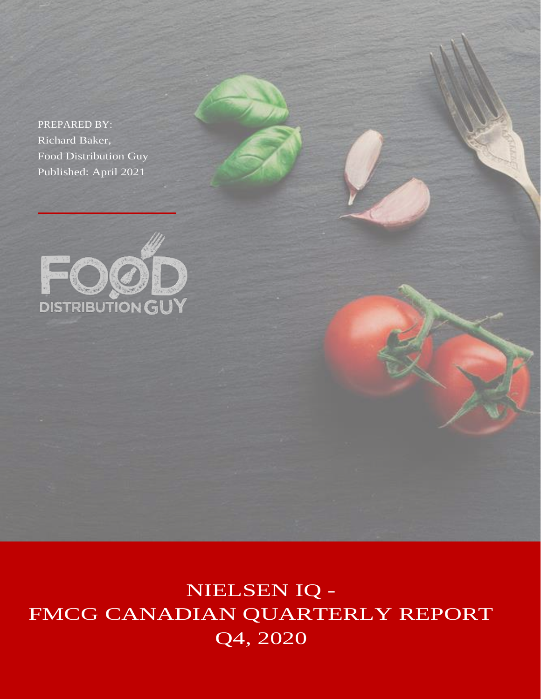PREPARED BY: Richard Baker, Food Distribution Guy Published: April 2021



NIELSEN IQ - FMCG CANADIAN QUARTERLY REPORT Q4, 2020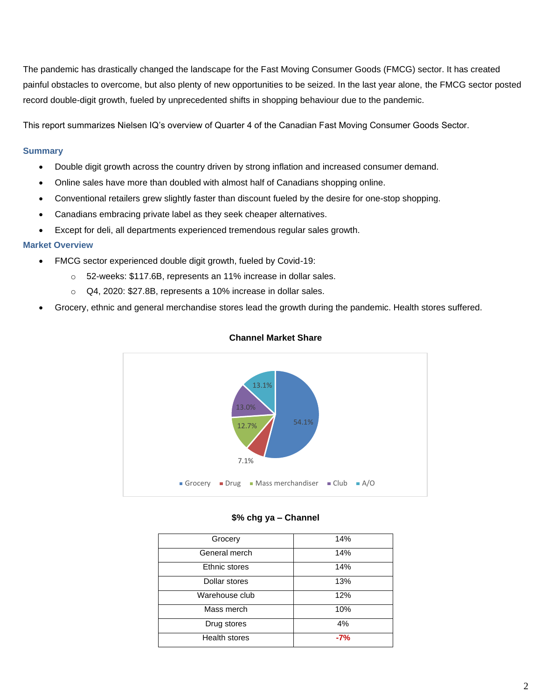The pandemic has drastically changed the landscape for the Fast Moving Consumer Goods (FMCG) sector. It has created painful obstacles to overcome, but also plenty of new opportunities to be seized. In the last year alone, the FMCG sector posted record double-digit growth, fueled by unprecedented shifts in shopping behaviour due to the pandemic.

This report summarizes Nielsen IQ's overview of Quarter 4 of the Canadian Fast Moving Consumer Goods Sector.

#### **Summary**

- Double digit growth across the country driven by strong inflation and increased consumer demand.
- Online sales have more than doubled with almost half of Canadians shopping online.
- Conventional retailers grew slightly faster than discount fueled by the desire for one-stop shopping.
- Canadians embracing private label as they seek cheaper alternatives.
- Except for deli, all departments experienced tremendous regular sales growth.

#### **Market Overview**

- FMCG sector experienced double digit growth, fueled by Covid-19:
	- o 52-weeks: \$117.6B, represents an 11% increase in dollar sales.
	- o Q4, 2020: \$27.8B, represents a 10% increase in dollar sales.
- Grocery, ethnic and general merchandise stores lead the growth during the pandemic. Health stores suffered.



#### **Channel Market Share**

**\$% chg ya – Channel**

| Grocery        | 14%   |
|----------------|-------|
| General merch  | 14%   |
| Ethnic stores  | 14%   |
| Dollar stores  | 13%   |
| Warehouse club | 12%   |
| Mass merch     | 10%   |
| Drug stores    | 4%    |
| Health stores  | $-7%$ |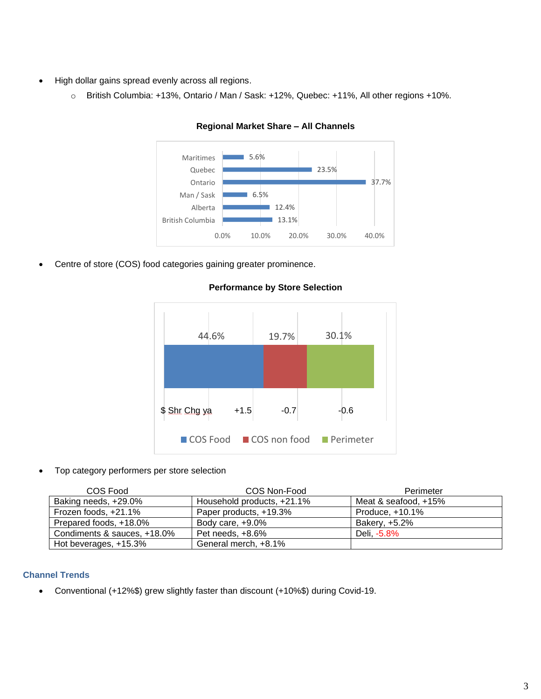- High dollar gains spread evenly across all regions.
	- o British Columbia: +13%, Ontario / Man / Sask: +12%, Quebec: +11%, All other regions +10%.



## **Regional Market Share – All Channels**

• Centre of store (COS) food categories gaining greater prominence.



### **Performance by Store Selection**

• Top category performers per store selection

| COS Food                    | COS Non-Food               | Perimeter            |
|-----------------------------|----------------------------|----------------------|
| Baking needs, +29.0%        | Household products, +21.1% | Meat & seafood, +15% |
| Frozen foods, +21.1%        | Paper products, +19.3%     | Produce, +10.1%      |
| Prepared foods, +18.0%      | Body care, +9.0%           | Bakery, +5.2%        |
| Condiments & sauces, +18.0% | Pet needs, +8.6%           | Deli, -5.8%          |
| Hot beverages, +15.3%       | General merch, +8.1%       |                      |

# **Channel Trends**

• Conventional (+12%\$) grew slightly faster than discount (+10%\$) during Covid-19.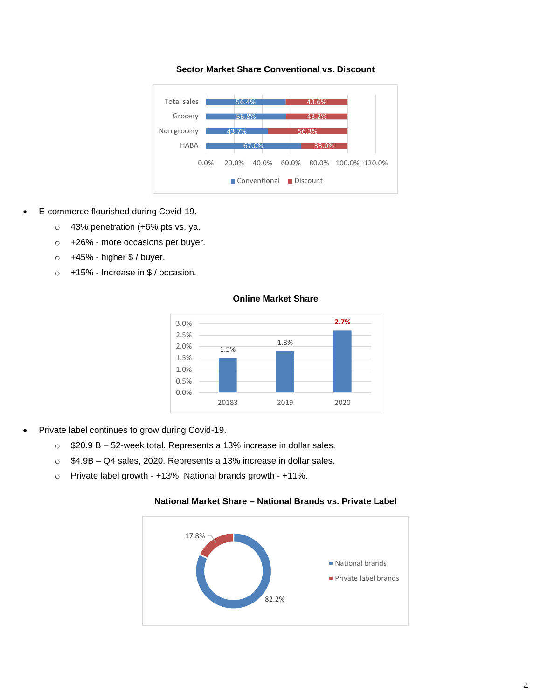

#### **Sector Market Share Conventional vs. Discount**

- E-commerce flourished during Covid-19.
	- o 43% penetration (+6% pts vs. ya.
	- o +26% more occasions per buyer.
	- o +45% higher \$ / buyer.
	- o +15% Increase in \$ / occasion.



#### **Online Market Share**

- Private label continues to grow during Covid-19.
	- o \$20.9 B 52-week total. Represents a 13% increase in dollar sales.
	- o \$4.9B Q4 sales, 2020. Represents a 13% increase in dollar sales.
	- o Private label growth +13%. National brands growth +11%.



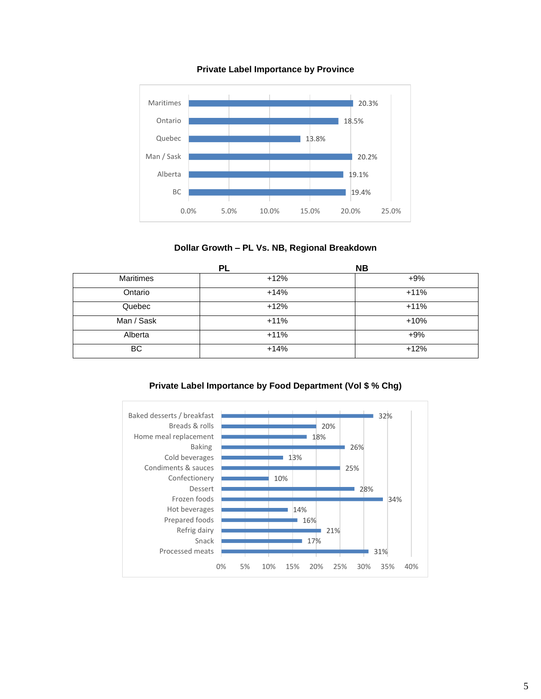

#### **Private Label Importance by Province**



|                  | PL     | <b>NB</b> |
|------------------|--------|-----------|
| <b>Maritimes</b> | $+12%$ | $+9\%$    |
| Ontario          | $+14%$ | $+11%$    |
| Quebec           | $+12%$ | $+11%$    |
| Man / Sask       | $+11%$ | $+10%$    |
| Alberta          | $+11%$ | $+9%$     |
| BC               | $+14%$ | $+12%$    |

# **Private Label Importance by Food Department (Vol \$ % Chg)**